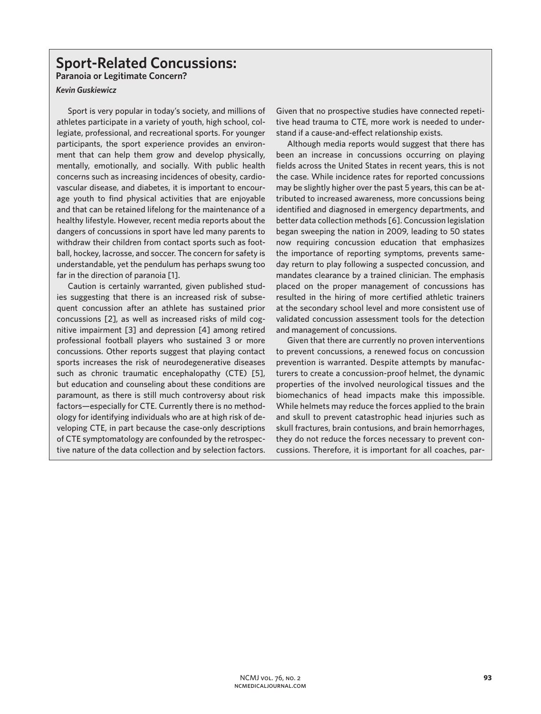# **Sport-Related Concussions:**

**Paranoia or Legitimate Concern?** 

# *Kevin Guskiewicz*

Sport is very popular in today's society, and millions of athletes participate in a variety of youth, high school, collegiate, professional, and recreational sports. For younger participants, the sport experience provides an environment that can help them grow and develop physically, mentally, emotionally, and socially. With public health concerns such as increasing incidences of obesity, cardiovascular disease, and diabetes, it is important to encourage youth to find physical activities that are enjoyable and that can be retained lifelong for the maintenance of a healthy lifestyle. However, recent media reports about the dangers of concussions in sport have led many parents to withdraw their children from contact sports such as football, hockey, lacrosse, and soccer. The concern for safety is understandable, yet the pendulum has perhaps swung too far in the direction of paranoia [1].

Caution is certainly warranted, given published studies suggesting that there is an increased risk of subsequent concussion after an athlete has sustained prior concussions [2], as well as increased risks of mild cognitive impairment [3] and depression [4] among retired professional football players who sustained 3 or more concussions. Other reports suggest that playing contact sports increases the risk of neurodegenerative diseases such as chronic traumatic encephalopathy (CTE) [5], but education and counseling about these conditions are paramount, as there is still much controversy about risk factors—especially for CTE. Currently there is no methodology for identifying individuals who are at high risk of developing CTE, in part because the case-only descriptions of CTE symptomatology are confounded by the retrospective nature of the data collection and by selection factors.

Given that no prospective studies have connected repetitive head trauma to CTE, more work is needed to understand if a cause-and-effect relationship exists.

Although media reports would suggest that there has been an increase in concussions occurring on playing fields across the United States in recent years, this is not the case. While incidence rates for reported concussions may be slightly higher over the past 5 years, this can be attributed to increased awareness, more concussions being identified and diagnosed in emergency departments, and better data collection methods [6]. Concussion legislation began sweeping the nation in 2009, leading to 50 states now requiring concussion education that emphasizes the importance of reporting symptoms, prevents sameday return to play following a suspected concussion, and mandates clearance by a trained clinician. The emphasis placed on the proper management of concussions has resulted in the hiring of more certified athletic trainers at the secondary school level and more consistent use of validated concussion assessment tools for the detection and management of concussions.

Given that there are currently no proven interventions to prevent concussions, a renewed focus on concussion prevention is warranted. Despite attempts by manufacturers to create a concussion-proof helmet, the dynamic properties of the involved neurological tissues and the biomechanics of head impacts make this impossible. While helmets may reduce the forces applied to the brain and skull to prevent catastrophic head injuries such as skull fractures, brain contusions, and brain hemorrhages, they do not reduce the forces necessary to prevent concussions. Therefore, it is important for all coaches, par-